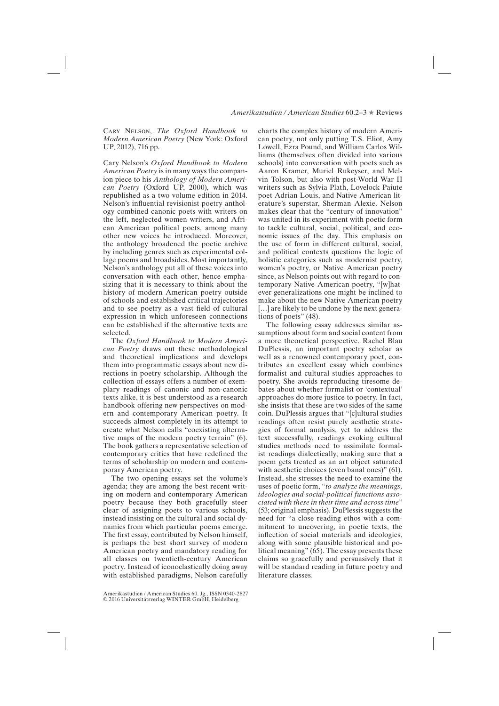Cary Nelson, *The Oxford Handbook to Modern American Poetry* (New York: Oxford UP, 2012), 716 pp.

Cary Nelson's *Oxford Handbook to Modern American Poetry* is in many ways the companion piece to his *Anthology of Modern American Poetry* (Oxford UP, 2000)*,* which was republished as a two volume edition in 2014. Nelson's influential revisionist poetry anthology combined canonic poets with writers on the left, neglected women writers, and African American political poets, among many other new voices he introduced. Moreover, the anthology broadened the poetic archive by including genres such as experimental collage poems and broadsides. Most importantly, Nelson's anthology put all of these voices into conversation with each other, hence emphasizing that it is necessary to think about the history of modern American poetry outside of schools and established critical trajectories and to see poetry as a vast field of cultural expression in which unforeseen connections can be established if the alternative texts are selected.

The *Oxford Handbook to Modern American Poetry* draws out these methodological and theoretical implications and develops them into programmatic essays about new directions in poetry scholarship. Although the collection of essays offers a number of exemplary readings of canonic and non-canonic texts alike, it is best understood as a research handbook offering new perspectives on modern and contemporary American poetry. It succeeds almost completely in its attempt to create what Nelson calls "coexisting alternative maps of the modern poetry terrain" (6). The book gathers a representative selection of contemporary critics that have redefined the terms of scholarship on modern and contemporary American poetry.

The two opening essays set the volume's agenda; they are among the best recent writing on modern and contemporary American poetry because they both gracefully steer clear of assigning poets to various schools, instead insisting on the cultural and social dynamics from which particular poems emerge. The first essay, contributed by Nelson himself, is perhaps the best short survey of modern American poetry and mandatory reading for all classes on twentieth-century American poetry. Instead of iconoclastically doing away with established paradigms, Nelson carefully

Amerikastudien / American Studies 60. Jg., ISSN 0340-2827 © 2016 Universitätsverlag WINTER GmbH, Heidelberg

charts the complex history of modern American poetry, not only putting T. S. Eliot, Amy Lowell, Ezra Pound, and William Carlos Williams (themselves often divided into various schools) into conversation with poets such as Aaron Kramer, Muriel Rukeyser, and Melvin Tolson, but also with post-World War II writers such as Sylvia Plath, Lovelock Paiute poet Adrian Louis, and Native American literature's superstar, Sherman Alexie. Nelson makes clear that the "century of innovation" was united in its experiment with poetic form to tackle cultural, social, political, and economic issues of the day. This emphasis on the use of form in different cultural, social, and political contexts questions the logic of holistic categories such as modernist poetry, women's poetry, or Native American poetry since, as Nelson points out with regard to contemporary Native American poetry, "[w]hatever generalizations one might be inclined to make about the new Native American poetry [...] are likely to be undone by the next generations of poets" (48).

The following essay addresses similar assumptions about form and social content from a more theoretical perspective. Rachel Blau DuPlessis, an important poetry scholar as well as a renowned contemporary poet, contributes an excellent essay which combines formalist and cultural studies approaches to poetry. She avoids reproducing tiresome debates about whether formalist or 'contextual' approaches do more justice to poetry. In fact, she insists that these are two sides of the same coin. DuPlessis argues that "[c]ultural studies readings often resist purely aesthetic strategies of formal analysis, yet to address the text successfully, readings evoking cultural studies methods need to assimilate formalist readings dialectically, making sure that a poem gets treated as an art object saturated with aesthetic choices (even banal ones)" (61). Instead, she stresses the need to examine the uses of poetic form, "*to analyze the meanings, ideologies and social-political functions associated with these in their time and across time*" (53; original emphasis). DuPlessis suggests the need for "a close reading ethos with a commitment to uncovering, in poetic texts, the inflection of social materials and ideologies, along with some plausible historical and political meaning"  $(65)$ . The essay presents these claims so gracefully and persuasively that it will be standard reading in future poetry and literature classes.